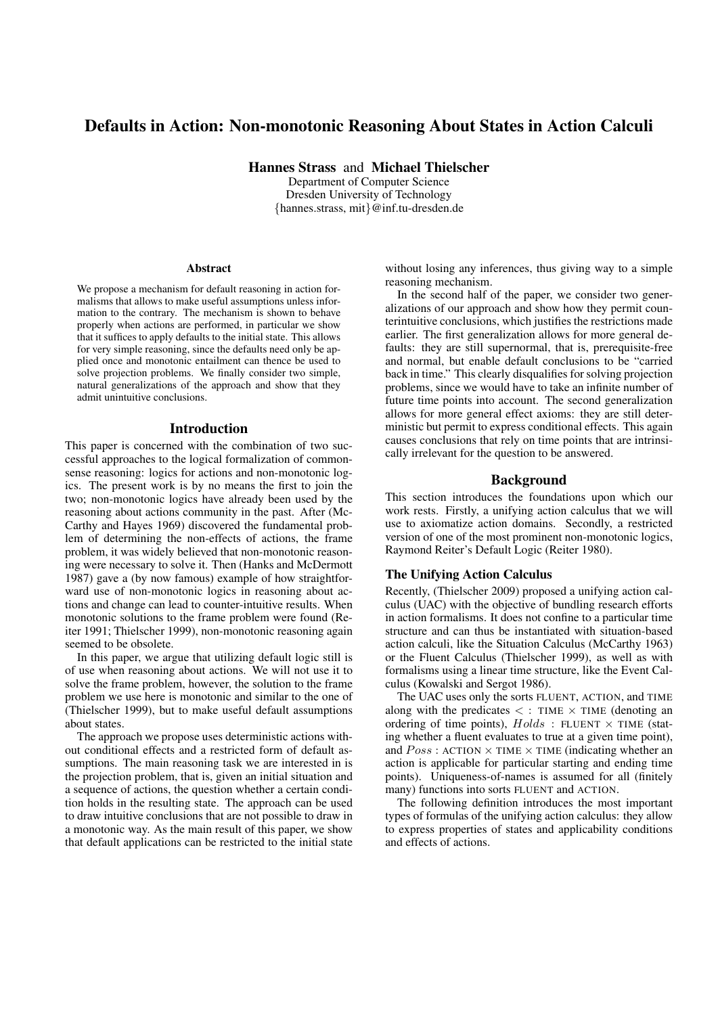# Defaults in Action: Non-monotonic Reasoning About States in Action Calculi

Hannes Strass and Michael Thielscher Department of Computer Science

Dresden University of Technology {hannes.strass, mit}@inf.tu-dresden.de

#### Abstract

We propose a mechanism for default reasoning in action formalisms that allows to make useful assumptions unless information to the contrary. The mechanism is shown to behave properly when actions are performed, in particular we show that it suffices to apply defaults to the initial state. This allows for very simple reasoning, since the defaults need only be applied once and monotonic entailment can thence be used to solve projection problems. We finally consider two simple, natural generalizations of the approach and show that they admit unintuitive conclusions.

#### Introduction

This paper is concerned with the combination of two successful approaches to the logical formalization of commonsense reasoning: logics for actions and non-monotonic logics. The present work is by no means the first to join the two; non-monotonic logics have already been used by the reasoning about actions community in the past. After (Mc-Carthy and Hayes 1969) discovered the fundamental problem of determining the non-effects of actions, the frame problem, it was widely believed that non-monotonic reasoning were necessary to solve it. Then (Hanks and McDermott 1987) gave a (by now famous) example of how straightforward use of non-monotonic logics in reasoning about actions and change can lead to counter-intuitive results. When monotonic solutions to the frame problem were found (Reiter 1991; Thielscher 1999), non-monotonic reasoning again seemed to be obsolete.

In this paper, we argue that utilizing default logic still is of use when reasoning about actions. We will not use it to solve the frame problem, however, the solution to the frame problem we use here is monotonic and similar to the one of (Thielscher 1999), but to make useful default assumptions about states.

The approach we propose uses deterministic actions without conditional effects and a restricted form of default assumptions. The main reasoning task we are interested in is the projection problem, that is, given an initial situation and a sequence of actions, the question whether a certain condition holds in the resulting state. The approach can be used to draw intuitive conclusions that are not possible to draw in a monotonic way. As the main result of this paper, we show that default applications can be restricted to the initial state without losing any inferences, thus giving way to a simple reasoning mechanism.

In the second half of the paper, we consider two generalizations of our approach and show how they permit counterintuitive conclusions, which justifies the restrictions made earlier. The first generalization allows for more general defaults: they are still supernormal, that is, prerequisite-free and normal, but enable default conclusions to be "carried back in time." This clearly disqualifies for solving projection problems, since we would have to take an infinite number of future time points into account. The second generalization allows for more general effect axioms: they are still deterministic but permit to express conditional effects. This again causes conclusions that rely on time points that are intrinsically irrelevant for the question to be answered.

## Background

This section introduces the foundations upon which our work rests. Firstly, a unifying action calculus that we will use to axiomatize action domains. Secondly, a restricted version of one of the most prominent non-monotonic logics, Raymond Reiter's Default Logic (Reiter 1980).

## The Unifying Action Calculus

Recently, (Thielscher 2009) proposed a unifying action calculus (UAC) with the objective of bundling research efforts in action formalisms. It does not confine to a particular time structure and can thus be instantiated with situation-based action calculi, like the Situation Calculus (McCarthy 1963) or the Fluent Calculus (Thielscher 1999), as well as with formalisms using a linear time structure, like the Event Calculus (Kowalski and Sergot 1986).

The UAC uses only the sorts FLUENT, ACTION, and TIME along with the predicates  $\lt$ : TIME  $\times$  TIME (denoting an ordering of time points),  $Holds$ : FLUENT  $\times$  TIME (stating whether a fluent evaluates to true at a given time point), and  $Poss:$  ACTION  $\times$  TIME  $\times$  TIME (indicating whether an action is applicable for particular starting and ending time points). Uniqueness-of-names is assumed for all (finitely many) functions into sorts FLUENT and ACTION.

The following definition introduces the most important types of formulas of the unifying action calculus: they allow to express properties of states and applicability conditions and effects of actions.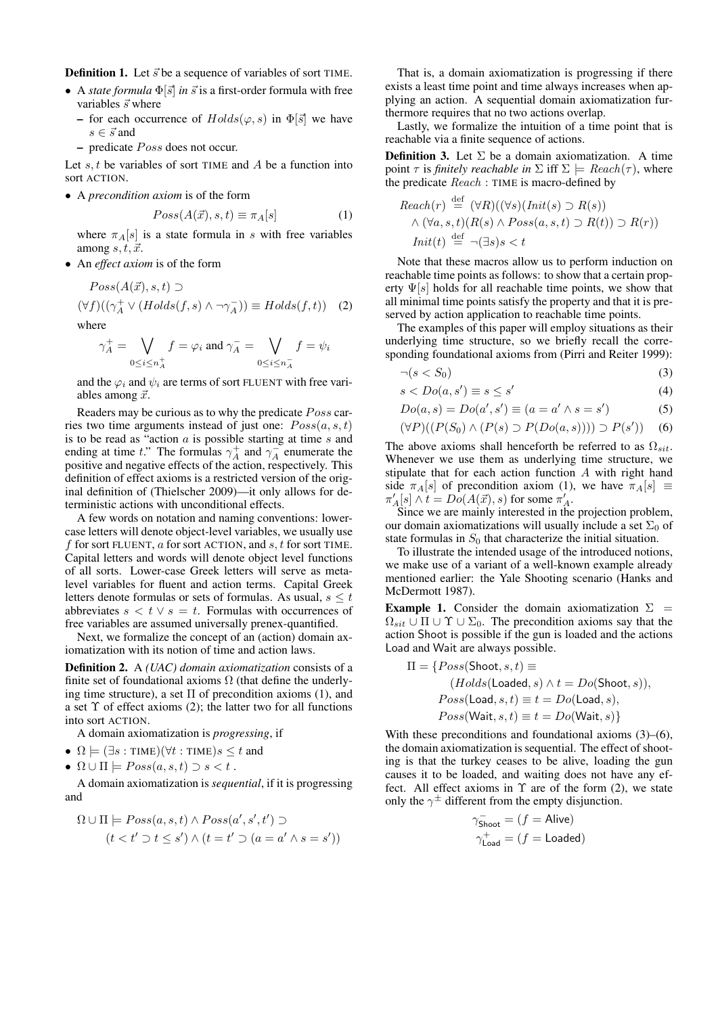**Definition 1.** Let  $\vec{s}$  be a sequence of variables of sort TIME.

- A *state formula*  $\Phi[\vec{s}]$  *in*  $\vec{s}$  is a first-order formula with free variables  $\vec{s}$  where
	- for each occurrence of  $Holds(\varphi, s)$  in  $\Phi[\vec{s}]$  we have  $s \in \vec{s}$  and
	- predicate *Poss* does not occur.

Let  $s, t$  be variables of sort TIME and  $A$  be a function into sort ACTION.

• A *precondition axiom* is of the form

$$
Poss(A(\vec{x}), s, t) \equiv \pi_A[s] \tag{1}
$$

where  $\pi_A[s]$  is a state formula in s with free variables among  $s, t, \vec{x}$ .

• An *effect axiom* is of the form

$$
Poss(A(\vec{x}), s, t) \supset
$$
  

$$
(\forall f)((\gamma_A^+ \lor (Holds(f, s) \land \neg \gamma_A^-)) \equiv Holds(f, t))
$$
 (2)

where

$$
\gamma_A^+ = \bigvee_{0 \le i \le n_A^+} f = \varphi_i \text{ and } \gamma_A^- = \bigvee_{0 \le i \le n_A^-} f = \psi_i
$$

and the  $\varphi_i$  and  $\psi_i$  are terms of sort FLUENT with free variables among  $\vec{x}$ .

Readers may be curious as to why the predicate *Poss* carries two time arguments instead of just one:  $Poss(a, s, t)$ is to be read as "action  $a$  is possible starting at time  $s$  and ending at time t." The formulas  $\gamma_A^+$  and  $\gamma_A^-$  enumerate the positive and negative effects of the action, respectively. This definition of effect axioms is a restricted version of the original definition of (Thielscher 2009)—it only allows for deterministic actions with unconditional effects.

A few words on notation and naming conventions: lowercase letters will denote object-level variables, we usually use f for sort FLUENT,  $a$  for sort ACTION, and  $s, t$  for sort TIME. Capital letters and words will denote object level functions of all sorts. Lower-case Greek letters will serve as metalevel variables for fluent and action terms. Capital Greek letters denote formulas or sets of formulas. As usual,  $s \leq t$ abbreviates  $s < t \vee s = t$ . Formulas with occurrences of free variables are assumed universally prenex-quantified.

Next, we formalize the concept of an (action) domain axiomatization with its notion of time and action laws.

Definition 2. A *(UAC) domain axiomatization* consists of a finite set of foundational axioms  $\Omega$  (that define the underlying time structure), a set  $\Pi$  of precondition axioms (1), and a set  $\Upsilon$  of effect axioms (2); the latter two for all functions into sort ACTION.

A domain axiomatization is *progressing*, if

- $\Omega \models (\exists s : \text{TIME})(\forall t : \text{TIME})s \leq t$  and
- $\Omega \cup \Pi$   $\models Poss(a,s,t) \supset s < t$ .

A domain axiomatization is *sequential*, if it is progressing and

$$
\Omega \cup \Pi \models Poss(a, s, t) \land Poss(a', s', t') \supset
$$

$$
(t < t' \supset t \le s') \land (t = t' \supset (a = a' \land s = s'))
$$

That is, a domain axiomatization is progressing if there exists a least time point and time always increases when applying an action. A sequential domain axiomatization furthermore requires that no two actions overlap.

Lastly, we formalize the intuition of a time point that is reachable via a finite sequence of actions.

**Definition 3.** Let  $\Sigma$  be a domain axiomatization. A time point  $\tau$  is *finitely reachable in*  $\Sigma$  iff  $\Sigma \models$   $Reach(\tau)$ , where the predicate Reach : TIME is macro-defined by

$$
Reach(r) \stackrel{\text{def}}{=} (\forall R)((\forall s)(Init(s) \supset R(s))
$$
  
 
$$
\land (\forall a, s, t)(R(s) \land Poss(a, s, t) \supset R(t)) \supset R(r))
$$
  
\n
$$
Init(t) \stackrel{\text{def}}{=} \neg (\exists s)s < t
$$

Note that these macros allow us to perform induction on reachable time points as follows: to show that a certain property  $\Psi[s]$  holds for all reachable time points, we show that all minimal time points satisfy the property and that it is preserved by action application to reachable time points.

The examples of this paper will employ situations as their underlying time structure, so we briefly recall the corresponding foundational axioms from (Pirri and Reiter 1999):

$$
\neg (s < S_0) \tag{3}
$$

$$
s < Do(a, s') \equiv s \le s' \tag{4}
$$

$$
Do(a, s) = Do(a', s') \equiv (a = a' \land s = s')
$$
 (5)

$$
(\forall P)((P(S_0) \land (P(s) \supset P(Do(a, s)))) \supset P(s')) \quad (6)
$$

The above axioms shall henceforth be referred to as  $\Omega_{sit}$ . Whenever we use them as underlying time structure, we stipulate that for each action function A with right hand side  $\pi_A[s]$  of precondition axiom (1), we have  $\pi_A[s] \equiv$  $\pi'_A[s] \wedge t = Do(A(\vec{x}), s)$  for some  $\pi'_A$ .

Since we are mainly interested in the projection problem, our domain axiomatizations will usually include a set  $\Sigma_0$  of state formulas in  $S_0$  that characterize the initial situation.

To illustrate the intended usage of the introduced notions, we make use of a variant of a well-known example already mentioned earlier: the Yale Shooting scenario (Hanks and McDermott 1987).

**Example 1.** Consider the domain axiomatization  $\Sigma$  =  $\Omega_{sit}$  ∪  $\Pi$  ∪  $\Upsilon$  ∪  $\Sigma_0$ . The precondition axioms say that the action Shoot is possible if the gun is loaded and the actions Load and Wait are always possible.

$$
\Pi = \{Poss(\text{Shoot}, s, t) \equiv (Holds(\text{Loaded}, s) \land t = Do(\text{Shoot}, s)),Poss(\text{Load}, s, t) \equiv t = Do(\text{Load}, s),Poss(\text{Wait}, s, t) \equiv t = Do(\text{Wait}, s)\}
$$

With these preconditions and foundational axioms (3)–(6), the domain axiomatization is sequential. The effect of shooting is that the turkey ceases to be alive, loading the gun causes it to be loaded, and waiting does not have any effect. All effect axioms in  $\Upsilon$  are of the form (2), we state only the  $\gamma^{\pm}$  different from the empty disjunction.

$$
\begin{aligned} \gamma_{\text{Show}}^- &= (f = \text{Alive}) \\ \gamma_{\text{Load}}^+ &= (f = \text{Loaded}) \end{aligned}
$$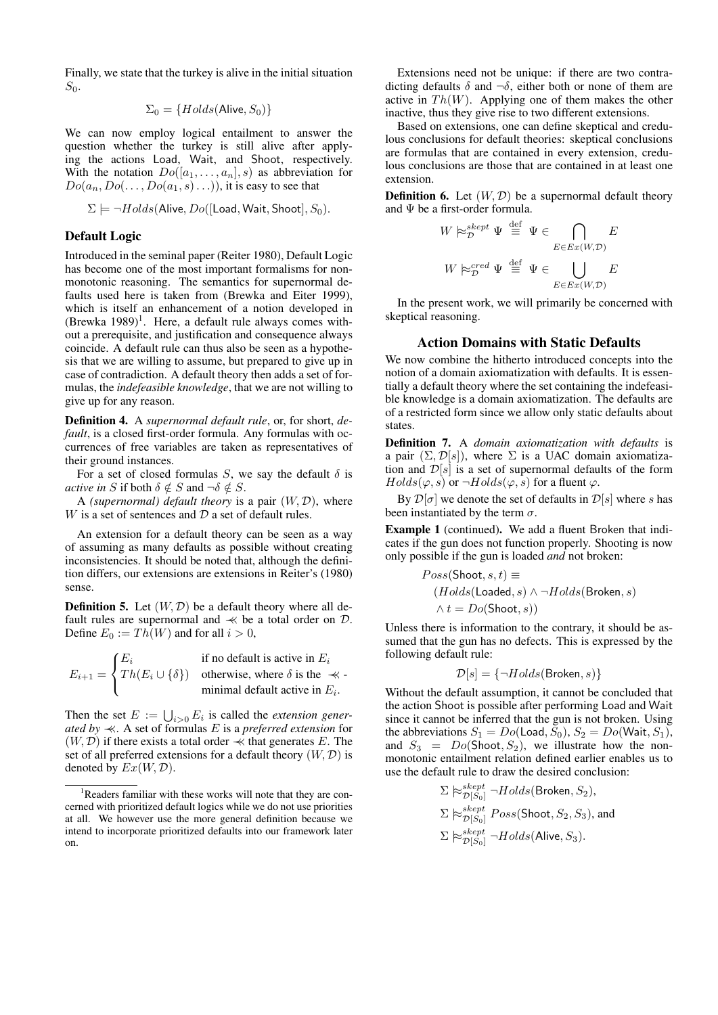Finally, we state that the turkey is alive in the initial situation  $S_0$ .

$$
\Sigma_0 = \{Holds(\text{Alive}, S_0)\}
$$

We can now employ logical entailment to answer the question whether the turkey is still alive after applying the actions Load, Wait, and Shoot, respectively. With the notation  $Do([a_1, \ldots, a_n], s)$  as abbreviation for  $Do(a_n, Do(\ldots, Do(a_1, s) \ldots))$ , it is easy to see that

$$
\Sigma \models \neg Holds(\text{Alive}, Do([\text{Load},\text{Wait},\text{Shoot}], S_0).
$$

## Default Logic

Introduced in the seminal paper (Reiter 1980), Default Logic has become one of the most important formalisms for nonmonotonic reasoning. The semantics for supernormal defaults used here is taken from (Brewka and Eiter 1999), which is itself an enhancement of a notion developed in  $(Brewka 1989)^1$ . Here, a default rule always comes without a prerequisite, and justification and consequence always coincide. A default rule can thus also be seen as a hypothesis that we are willing to assume, but prepared to give up in case of contradiction. A default theory then adds a set of formulas, the *indefeasible knowledge*, that we are not willing to give up for any reason.

Definition 4. A *supernormal default rule*, or, for short, *default*, is a closed first-order formula. Any formulas with occurrences of free variables are taken as representatives of their ground instances.

For a set of closed formulas S, we say the default  $\delta$  is *active in* S if both  $\delta \notin S$  and  $\neg \delta \notin S$ .

A *(supernormal) default theory* is a pair  $(W, D)$ , where W is a set of sentences and  $D$  a set of default rules.

An extension for a default theory can be seen as a way of assuming as many defaults as possible without creating inconsistencies. It should be noted that, although the definition differs, our extensions are extensions in Reiter's (1980) sense.

**Definition 5.** Let  $(W, D)$  be a default theory where all default rules are supernormal and  $\prec$  be a total order on  $D$ . Define  $E_0 := Th(W)$  and for all  $i > 0$ ,

$$
E_{i+1} = \begin{cases} E_i & \text{if no default is active in } E_i \\ Th(E_i \cup \{\delta\}) & \text{otherwise, where } \delta \text{ is the } \prec \text{-minimal default active in } E_i. \end{cases}
$$

Then the set  $E := \bigcup_{i>0} E_i$  is called the *extension generated by* ≺≺. A set of formulas E is a *preferred extension* for  $(W, \mathcal{D})$  if there exists a total order  $\prec$  that generates E. The set of all preferred extensions for a default theory  $(W, \mathcal{D})$  is denoted by  $Ex(W, \mathcal{D})$ .

Extensions need not be unique: if there are two contradicting defaults  $\delta$  and  $\neg \delta$ , either both or none of them are active in  $Th(W)$ . Applying one of them makes the other inactive, thus they give rise to two different extensions.

Based on extensions, one can define skeptical and credulous conclusions for default theories: skeptical conclusions are formulas that are contained in every extension, credulous conclusions are those that are contained in at least one extension.

**Definition 6.** Let  $(W, D)$  be a supernormal default theory and Ψ be a first-order formula.

$$
W \succcurlyeq_{\mathcal{D}}^{skept} \Psi \stackrel{\text{def}}{=} \Psi \in \bigcap_{E \in Ex(W, \mathcal{D})} E
$$

$$
W \succcurlyeq_{\mathcal{D}}^{Sred} \Psi \stackrel{\text{def}}{=} \Psi \in \bigcup_{E \in Ex(W, \mathcal{D})} E
$$

In the present work, we will primarily be concerned with skeptical reasoning.

## Action Domains with Static Defaults

We now combine the hitherto introduced concepts into the notion of a domain axiomatization with defaults. It is essentially a default theory where the set containing the indefeasible knowledge is a domain axiomatization. The defaults are of a restricted form since we allow only static defaults about states.

Definition 7. A *domain axiomatization with defaults* is a pair  $(\Sigma, \mathcal{D}[s])$ , where  $\Sigma$  is a UAC domain axiomatization and  $\mathcal{D}[s]$  is a set of supernormal defaults of the form  $Holds(\varphi, s)$  or  $\neg Holds(\varphi, s)$  for a fluent  $\varphi$ .

By  $\mathcal{D}[\sigma]$  we denote the set of defaults in  $\mathcal{D}[s]$  where s has been instantiated by the term  $\sigma$ .

Example 1 (continued). We add a fluent Broken that indicates if the gun does not function properly. Shooting is now only possible if the gun is loaded *and* not broken:

$$
Poss(\text{Show}, s, t) \equiv (Holds(\text{Loaded}, s) \land \neg Holds(\text{Broken}, s) \land t = Do(\text{Show}, s)
$$

Unless there is information to the contrary, it should be assumed that the gun has no defects. This is expressed by the following default rule:

$$
\mathcal{D}[s] = \{\neg Holds(\text{Broken}, s)\}
$$

Without the default assumption, it cannot be concluded that the action Shoot is possible after performing Load and Wait since it cannot be inferred that the gun is not broken. Using the abbreviations  $S_1 = Do(\text{Load}, \bar{S}_0), S_2 = Do(\text{Wait}, S_1),$ and  $S_3 = Do($ Shoot,  $S_2$ ), we illustrate how the nonmonotonic entailment relation defined earlier enables us to use the default rule to draw the desired conclusion:

$$
\Sigma \succcurlyeq_{\mathcal{D}[S_0]}^{skept} \neg Holds(\text{Broken}, S_2),
$$
  
\n
$$
\Sigma \succcurlyeq_{\mathcal{D}[S_0]}^{skept} Poss(\text{Shoot}, S_2, S_3), \text{ and}
$$
  
\n
$$
\Sigma \succcurlyeq_{\mathcal{D}[S_0]}^{skept} \neg Holds(\text{Alive}, S_3).
$$

<sup>&</sup>lt;sup>1</sup>Readers familiar with these works will note that they are concerned with prioritized default logics while we do not use priorities at all. We however use the more general definition because we intend to incorporate prioritized defaults into our framework later on.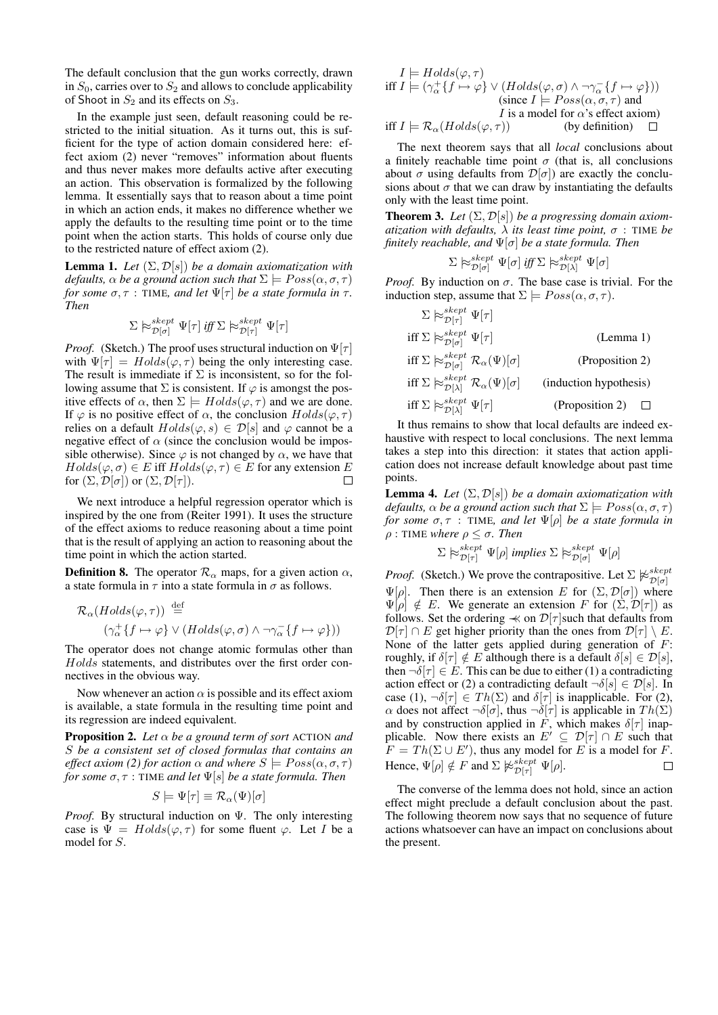The default conclusion that the gun works correctly, drawn in  $S_0$ , carries over to  $S_2$  and allows to conclude applicability of Shoot in  $S_2$  and its effects on  $S_3$ .

In the example just seen, default reasoning could be restricted to the initial situation. As it turns out, this is sufficient for the type of action domain considered here: effect axiom (2) never "removes" information about fluents and thus never makes more defaults active after executing an action. This observation is formalized by the following lemma. It essentially says that to reason about a time point in which an action ends, it makes no difference whether we apply the defaults to the resulting time point or to the time point when the action starts. This holds of course only due to the restricted nature of effect axiom (2).

Lemma 1. *Let* (Σ, D[s]) *be a domain axiomatization with defaults,*  $\alpha$  *be a ground action such that*  $\Sigma \models Poss(\alpha, \sigma, \tau)$ *for some*  $\sigma, \tau$  : TIME, and let  $\Psi[\tau]$  *be a state formula in*  $\tau$ *. Then*

$$
\Sigma \hspace{0.2em}\mathop{\triangleright}\nolimits^{skept}_{\mathcal{D}[\sigma]} \Psi[\tau] \text{ iff } \Sigma \hspace{0.2em}\mathop{\triangleright}\nolimits^{skept}_{\mathcal{D}[\tau]} \Psi[\tau]
$$

*Proof.* (Sketch.) The proof uses structural induction on  $\Psi[\tau]$ with  $\Psi[\tau] = Holds(\varphi, \tau)$  being the only interesting case. The result is immediate if  $\Sigma$  is inconsistent, so for the following assume that  $\Sigma$  is consistent. If  $\varphi$  is amongst the positive effects of  $\alpha$ , then  $\Sigma \models Holds(\varphi, \tau)$  and we are done. If  $\varphi$  is no positive effect of  $\alpha$ , the conclusion  $Holds(\varphi, \tau)$ relies on a default  $Holds(\varphi, s) \in \mathcal{D}[s]$  and  $\varphi$  cannot be a negative effect of  $\alpha$  (since the conclusion would be impossible otherwise). Since  $\varphi$  is not changed by  $\alpha$ , we have that  $Holds(\varphi, \sigma) \in E$  iff  $Holds(\varphi, \tau) \in E$  for any extension E for  $(\Sigma, \mathcal{D}[\sigma])$  or  $(\Sigma, \mathcal{D}[\tau])$ .  $\Box$ 

We next introduce a helpful regression operator which is inspired by the one from (Reiter 1991). It uses the structure of the effect axioms to reduce reasoning about a time point that is the result of applying an action to reasoning about the time point in which the action started.

**Definition 8.** The operator  $\mathcal{R}_{\alpha}$  maps, for a given action  $\alpha$ , a state formula in  $\tau$  into a state formula in  $\sigma$  as follows.

$$
\mathcal{R}_{\alpha}(Holds(\varphi,\tau)) \stackrel{\text{def}}{=} \left( \gamma_{\alpha}^{+} \{ f \mapsto \varphi \} \vee (Holds(\varphi,\sigma) \wedge \neg \gamma_{\alpha}^{-} \{ f \mapsto \varphi \}) \right)
$$

The operator does not change atomic formulas other than Holds statements, and distributes over the first order connectives in the obvious way.

Now whenever an action  $\alpha$  is possible and its effect axiom is available, a state formula in the resulting time point and its regression are indeed equivalent.

Proposition 2. *Let* α *be a ground term of sort* ACTION *and* S *be a consistent set of closed formulas that contains an effect axiom (2) for action*  $\alpha$  *and where*  $S \models Poss(\alpha, \sigma, \tau)$ *for some* σ, τ : TIME *and let* Ψ[s] *be a state formula. Then*

$$
S \models \Psi[\tau] \equiv \mathcal{R}_{\alpha}(\Psi)[\sigma]
$$

*Proof.* By structural induction on Ψ. The only interesting case is  $\Psi = Holds(\varphi, \tau)$  for some fluent  $\varphi$ . Let I be a model for S.

 $I \models Holds(\varphi, \tau)$  $\inf I \models (\gamma^+_{\alpha} \{f \mapsto \varphi\} \vee (Holds(\varphi, \sigma) \wedge \neg \gamma^-_{\alpha} \{f \mapsto \varphi\}))$ (since  $I \models Poss(\alpha, \sigma, \tau)$  and I is a model for  $\alpha$ 's effect axiom) iff  $I \models \mathcal{R}_{\alpha}(Holds(\varphi, \tau))$  (by definition)  $\Box$ 

The next theorem says that all *local* conclusions about a finitely reachable time point  $\sigma$  (that is, all conclusions about  $\sigma$  using defaults from  $\mathcal{D}[\sigma]$  are exactly the conclusions about  $\sigma$  that we can draw by instantiating the defaults only with the least time point.

**Theorem 3.** Let  $(\Sigma, \mathcal{D}[s])$  be a progressing domain axiom*atization with defaults,* λ *its least time point,* σ : TIME *be finitely reachable, and* Ψ[σ] *be a state formula. Then*

$$
\Sigma \hspace{0.2em}\approx\hspace{-0.9em}\mid\hspace{0.58em} \mathbb{P}^{skept}_{\mathcal{D}[\sigma]}\hspace{0.2em}\Psi[\sigma]\hspace{0.2em} \text{ iff } \Sigma \hspace{0.2em}\approx\hspace{-0.9em}\mathbb{P}^{skept}_{\mathcal{D}[\lambda]}\hspace{0.2em}\Psi[\sigma]
$$

*Proof.* By induction on  $\sigma$ . The base case is trivial. For the induction step, assume that  $\Sigma \models Poss(\alpha, \sigma, \tau)$ .

 $\Sigma \hspace{0.2em}\approx\hspace{-0.9em}\mid\hspace{0.58em} \mathcal{E}_{\mathcal{D}[\tau]}\hspace{0.2em}\Psi[\tau]$ iff  $\Sigma \approx_{\mathcal{D}[\sigma]}^{skept} \Psi[\tau]$  (Lemma 1) iff  $\Sigma \approx_{\mathcal{D}[\sigma]}^{skept} \mathcal{R}_{\alpha}(\Psi)[\sigma]$  (Proposition 2) iff  $\Sigma \Join_{\mathcal{D}[\lambda]}^{skept} \mathcal{R}_{\alpha}(\Psi)[\sigma]$  (induction hypothesis) iff  $\Sigma \models_{\mathcal{D}[\lambda]}^{skept} \Psi[\tau]$  (Proposition 2)  $\Box$ 

It thus remains to show that local defaults are indeed exhaustive with respect to local conclusions. The next lemma takes a step into this direction: it states that action application does not increase default knowledge about past time points.

**Lemma 4.** *Let*  $(\Sigma, \mathcal{D}[s])$  *be a domain axiomatization with defaults,*  $\alpha$  *be a ground action such that*  $\Sigma \models Poss(\alpha, \sigma, \tau)$ *for some*  $\sigma, \tau$  : TIME, and let  $\Psi[\rho]$  *be a state formula in*  $ρ$  : TIME *where*  $ρ \le σ$ *. Then* 

$$
\Sigma \hspace{0.2em}\approx\hspace{-0.9em}\mid\hspace{0.58em} s^{kept} \hspace{0.2em}\Psi[\rho] \textit{ implies } \Sigma \hspace{0.2em}\approx\hspace{-0.9em}\mid\hspace{0.58em} s^{sleept} \hspace{0.2em}\Psi[\rho]
$$

*Proof.* (Sketch.) We prove the contrapositive. Let  $\Sigma \not\approx_{\mathcal{D}[\sigma]}^{sker}$  $\Psi[\rho]$ . Then there is an extension E for  $(\Sigma, \mathcal{D}[\sigma])$  where  $\Psi[\rho] \notin E$ . We generate an extension F for  $(\Sigma, \mathcal{D}[\tau])$  as follows. Set the ordering  $\prec$  on  $\mathcal{D}[\tau]$  such that defaults from  $\mathcal{D}[\tau] \cap E$  get higher priority than the ones from  $\mathcal{D}[\tau] \setminus E$ . None of the latter gets applied during generation of  $F$ : roughly, if  $\delta[\tau] \notin E$  although there is a default  $\delta[s] \in \mathcal{D}[s],$ then  $\neg \delta[\tau] \in E$ . This can be due to either (1) a contradicting action effect or (2) a contradicting default  $\neg \delta[s] \in \mathcal{D}[s]$ . In case (1),  $\neg \delta[\tau] \in Th(\Sigma)$  and  $\delta[\tau]$  is inapplicable. For (2),  $\alpha$  does not affect  $\neg \delta[\sigma]$ , thus  $\neg \delta[\tau]$  is applicable in  $Th(\Sigma)$ and by construction applied in F, which makes  $\delta[\tau]$  inapplicable. Now there exists an  $E' \subseteq \mathcal{D}[\tau] \cap E$  such that  $F = Th(\Sigma \cup E')$ , thus any model for E is a model for F. Hence,  $\Psi[\rho] \notin F$  and  $\Sigma \not\approx_{\mathcal{D}[\tau]}^{skept} \Psi[\rho]$ .

The converse of the lemma does not hold, since an action effect might preclude a default conclusion about the past. The following theorem now says that no sequence of future actions whatsoever can have an impact on conclusions about the present.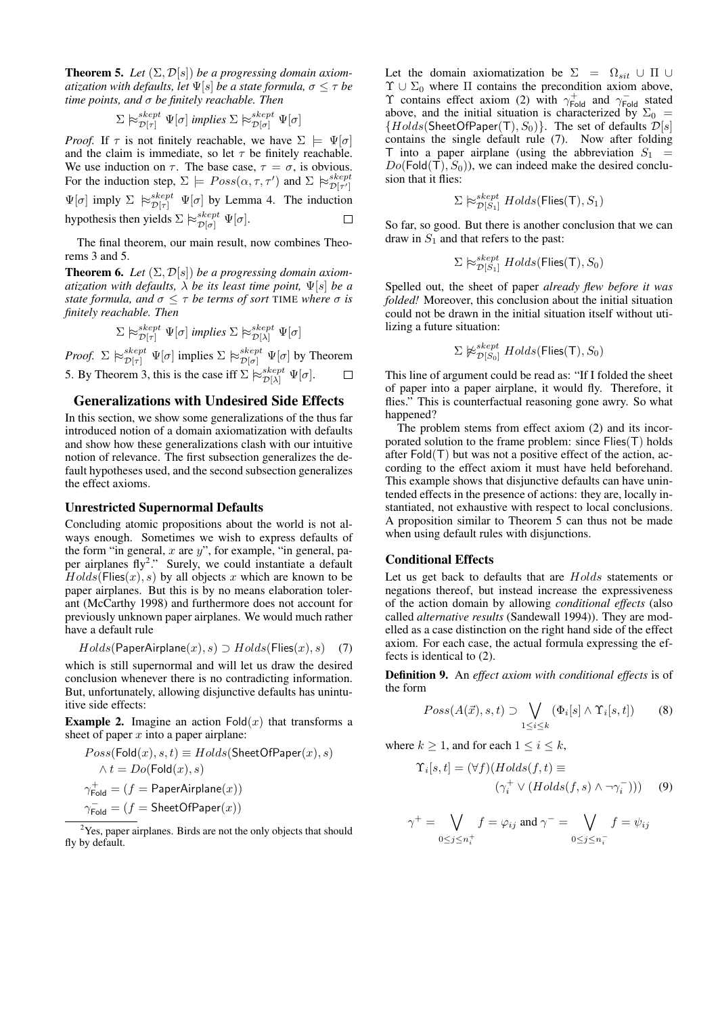**Theorem 5.** Let  $(\Sigma, \mathcal{D}[s])$  be a progressing domain axiom*atization with defaults, let*  $\Psi[s]$  *be a state formula,*  $\sigma \leq \tau$  *be time points, and* σ *be finitely reachable. Then*

$$
\Sigma \hspace{0.2em}\approx_{\mathcal{D}[\tau]}^{skept} \hspace{0.2em}\Psi[\sigma] \hspace{0.2em} \textit{implies} \hspace{0.2em} \Sigma \hspace{0.2em}\approx_{\mathcal{D}[\sigma]}^{skept} \hspace{0.2em}\Psi[\sigma]
$$

*Proof.* If  $\tau$  is not finitely reachable, we have  $\Sigma \models \Psi[\sigma]$ and the claim is immediate, so let  $\tau$  be finitely reachable. We use induction on  $\tau$ . The base case,  $\tau = \sigma$ , is obvious. For the induction step,  $\Sigma \models Poss(\alpha, \tau, \tau')$  and  $\Sigma \not\approx_{\mathcal{D}[\tau']}^{skept}$  $\Psi[\sigma]$  imply  $\Sigma \ \approx_{\mathcal{D}[\tau]}^{skept} \ \Psi[\sigma]$  by Lemma 4. The induction hypothesis then yields  $\Sigma \models_{\mathcal{D}[\sigma]}^{skept} \Psi[\sigma]$ .  $\Box$ 

The final theorem, our main result, now combines Theorems 3 and 5.

**Theorem 6.** Let  $(\Sigma, \mathcal{D}[s])$  be a progressing domain axiom*atization with defaults,*  $\lambda$  *be its least time point,*  $\Psi[s]$  *be a state formula, and*  $\sigma \leq \tau$  *be terms of sort* TIME *where*  $\sigma$  *is finitely reachable. Then*

$$
\Sigma \hspace{0.2em}\approx_{\mathcal{D}[\tau]}^{skept} \Psi[\sigma] \text{ implies } \Sigma \hspace{0.2em}\approx_{\mathcal{D}[\lambda]}^{skept} \Psi[\sigma]
$$

*Proof.*  $\Sigma \not\approx_{\mathcal{D}[\tau]}^{skept} \Psi[\sigma]$  implies  $\Sigma \not\approx_{\mathcal{D}[\sigma]}^{skept} \Psi[\sigma]$  by Theorem 5. By Theorem 3, this is the case iff  $\Sigma \models_{\mathcal{D}[\lambda]}^{skept} \Psi[\sigma]$ .  $\Box$ 

# Generalizations with Undesired Side Effects

In this section, we show some generalizations of the thus far introduced notion of a domain axiomatization with defaults and show how these generalizations clash with our intuitive notion of relevance. The first subsection generalizes the default hypotheses used, and the second subsection generalizes the effect axioms.

## Unrestricted Supernormal Defaults

Concluding atomic propositions about the world is not always enough. Sometimes we wish to express defaults of the form "in general, x are  $y$ ", for example, "in general, paper airplanes fly<sup>2</sup>." Surely, we could instantiate a default  $Holds(Files(x), s)$  by all objects x which are known to be paper airplanes. But this is by no means elaboration tolerant (McCarthy 1998) and furthermore does not account for previously unknown paper airplanes. We would much rather have a default rule

$$
Holds(\mathsf{PaperAirplane}(x),s) \supset Holds(\mathsf{Flies}(x),s) \quad (7)
$$

which is still supernormal and will let us draw the desired conclusion whenever there is no contradicting information. But, unfortunately, allowing disjunctive defaults has unintuitive side effects:

**Example 2.** Imagine an action  $Fold(x)$  that transforms a sheet of paper  $x$  into a paper airplane:

$$
\begin{aligned} &\mathit{Poss}(\mathsf{Fold}(x),s,t) \equiv \mathit{Holds}(\mathsf{SheetOfPaper}(x),s)\\ &\wedge t = \mathit{Do}(\mathsf{Fold}(x),s)\\ &\gamma_{\mathsf{Fold}}^+ = (f = \mathsf{PaperAirplane}(x))\\ &\gamma_{\mathsf{Fold}}^- = (f = \mathsf{SheetOfPaper}(x)) \end{aligned}
$$

<sup>2</sup>Yes, paper airplanes. Birds are not the only objects that should fly by default.

Let the domain axiomatization be  $\Sigma = \Omega_{sit} \cup \Pi \cup$  $\Upsilon \cup \Sigma_0$  where  $\Pi$  contains the precondition axiom above,  $\Upsilon$  contains effect axiom (2) with  $\gamma_{\text{Fold}}^+$  and  $\gamma_{\text{Fold}}^-$  stated above, and the initial situation is characterized by  $\Sigma_0$  =  ${Holds(SheetOfPaper(T), S<sub>0</sub>)}.$  The set of defaults  $\mathcal{D}[s]$ contains the single default rule (7). Now after folding T into a paper airplane (using the abbreviation  $S_1$  =  $Do(Fold(T), S_0)$ , we can indeed make the desired conclusion that it flies:

$$
\Sigma \hspace{0.2em}\approx\hspace{-0.9em}\mid\hspace{0.58em} \mathcal{E}_{\mathcal{D}[S_1]}^{skept} \hspace{0.2em} Holds(\text{Flies}(\textsf{T}), S_1)
$$

So far, so good. But there is another conclusion that we can draw in  $S_1$  and that refers to the past:

 $\Sigma \hspace{0.2em}\approx\hspace{-0.9em}\mid\hspace{0.58em} \mathcal{E}_{\mathcal{D}[S_1]}^{skept} \,\,Holds(\mathsf{Flies}(\mathsf{T}),S_0)$ 

Spelled out, the sheet of paper *already flew before it was folded!* Moreover, this conclusion about the initial situation could not be drawn in the initial situation itself without utilizing a future situation:

$$
\Sigma \not\approx_{\mathcal{D}[S_0]}^{skept} Holds(\mathsf{Flies}(\mathsf{T}), S_0)
$$

This line of argument could be read as: "If I folded the sheet of paper into a paper airplane, it would fly. Therefore, it flies." This is counterfactual reasoning gone awry. So what happened?

The problem stems from effect axiom (2) and its incorporated solution to the frame problem: since Flies(T) holds after  $Fold(T)$  but was not a positive effect of the action, according to the effect axiom it must have held beforehand. This example shows that disjunctive defaults can have unintended effects in the presence of actions: they are, locally instantiated, not exhaustive with respect to local conclusions. A proposition similar to Theorem 5 can thus not be made when using default rules with disjunctions.

#### Conditional Effects

Let us get back to defaults that are *Holds* statements or negations thereof, but instead increase the expressiveness of the action domain by allowing *conditional effects* (also called *alternative results* (Sandewall 1994)). They are modelled as a case distinction on the right hand side of the effect axiom. For each case, the actual formula expressing the effects is identical to (2).

Definition 9. An *effect axiom with conditional effects* is of the form

$$
Poss(A(\vec{x}), s, t) \supset \bigvee_{1 \leq i \leq k} (\Phi_i[s] \wedge \Upsilon_i[s, t]) \qquad (8)
$$

where  $k \geq 1$ , and for each  $1 \leq i \leq k$ ,

$$
\Upsilon_i[s, t] = (\forall f)(Holds(f, t) \equiv \n(\gamma_i^+ \lor (Holds(f, s) \land \neg \gamma_i^-)))
$$
 (9)

$$
\gamma^+ = \bigvee_{0 \le j \le n_i^+} f = \varphi_{ij} \text{ and } \gamma^- = \bigvee_{0 \le j \le n_i^-} f = \psi_{ij}
$$